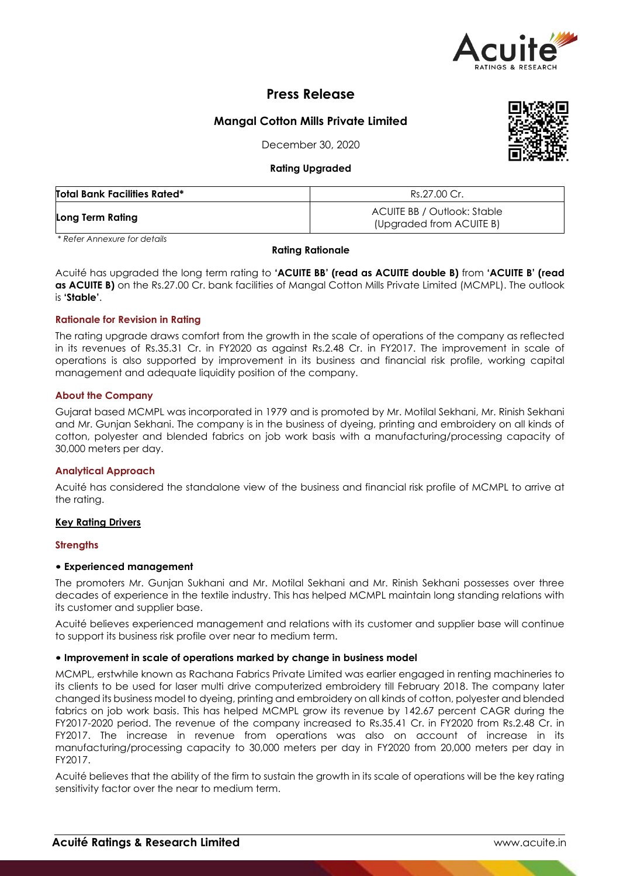

# **Press Release**

## **Mangal Cotton Mills Private Limited**

December 30, 2020

## **Rating Upgraded**

| <b>Total Bank Facilities Rated*</b> | Rs.27.00 Cr.                                            |
|-------------------------------------|---------------------------------------------------------|
| Long Term Rating                    | ACUITE BB / Outlook: Stable<br>(Upgraded from ACUITE B) |

*\* Refer Annexure for details*

## **Rating Rationale**

Acuité has upgraded the long term rating to **'ACUITE BB' (read as ACUITE double B)** from **'ACUITE B' (read as ACUITE B)** on the Rs.27.00 Cr. bank facilities of Mangal Cotton Mills Private Limited (MCMPL). The outlook is **'Stable'**.

## **Rationale for Revision in Rating**

The rating upgrade draws comfort from the growth in the scale of operations of the company as reflected in its revenues of Rs.35.31 Cr. in FY2020 as against Rs.2.48 Cr. in FY2017. The improvement in scale of operations is also supported by improvement in its business and financial risk profile, working capital management and adequate liquidity position of the company.

## **About the Company**

Gujarat based MCMPL was incorporated in 1979 and is promoted by Mr. Motilal Sekhani, Mr. Rinish Sekhani and Mr. Gunjan Sekhani. The company is in the business of dyeing, printing and embroidery on all kinds of cotton, polyester and blended fabrics on job work basis with a manufacturing/processing capacity of 30,000 meters per day.

## **Analytical Approach**

Acuité has considered the standalone view of the business and financial risk profile of MCMPL to arrive at the rating.

## **Key Rating Drivers**

#### **Strengths**

## • **Experienced management**

The promoters Mr. Gunjan Sukhani and Mr. Motilal Sekhani and Mr. Rinish Sekhani possesses over three decades of experience in the textile industry. This has helped MCMPL maintain long standing relations with its customer and supplier base.

Acuité believes experienced management and relations with its customer and supplier base will continue to support its business risk profile over near to medium term.

#### • **Improvement in scale of operations marked by change in business model**

MCMPL, erstwhile known as Rachana Fabrics Private Limited was earlier engaged in renting machineries to its clients to be used for laser multi drive computerized embroidery till February 2018. The company later changed its business model to dyeing, printing and embroidery on all kinds of cotton, polyester and blended fabrics on job work basis. This has helped MCMPL grow its revenue by 142.67 percent CAGR during the FY2017-2020 period. The revenue of the company increased to Rs.35.41 Cr. in FY2020 from Rs.2.48 Cr. in FY2017. The increase in revenue from operations was also on account of increase in its manufacturing/processing capacity to 30,000 meters per day in FY2020 from 20,000 meters per day in FY2017.

Acuité believes that the ability of the firm to sustain the growth in its scale of operations will be the key rating sensitivity factor over the near to medium term.

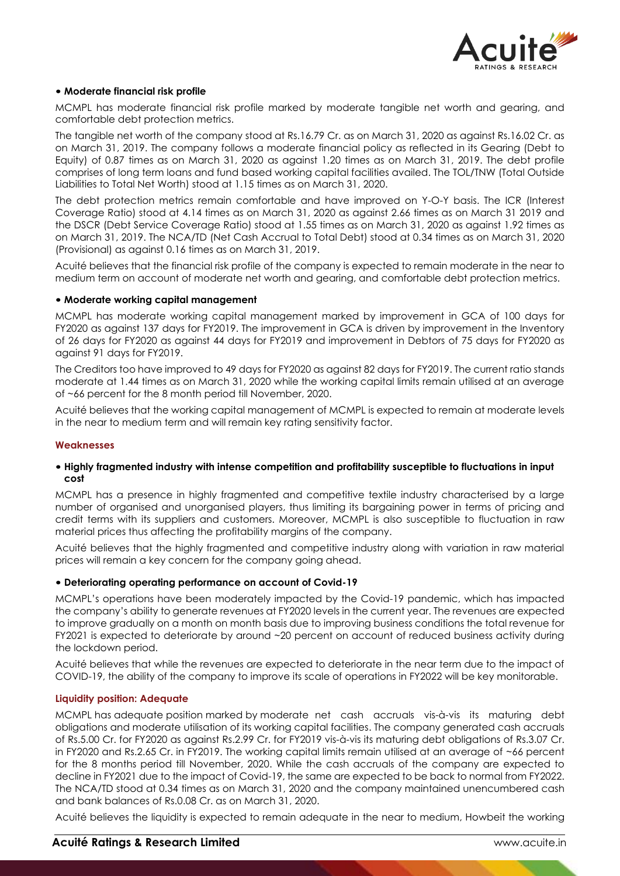

## • **Moderate financial risk profile**

MCMPL has moderate financial risk profile marked by moderate tangible net worth and gearing, and comfortable debt protection metrics.

The tangible net worth of the company stood at Rs.16.79 Cr. as on March 31, 2020 as against Rs.16.02 Cr. as on March 31, 2019. The company follows a moderate financial policy as reflected in its Gearing (Debt to Equity) of 0.87 times as on March 31, 2020 as against 1.20 times as on March 31, 2019. The debt profile comprises of long term loans and fund based working capital facilities availed. The TOL/TNW (Total Outside Liabilities to Total Net Worth) stood at 1.15 times as on March 31, 2020.

The debt protection metrics remain comfortable and have improved on Y-O-Y basis. The ICR (Interest Coverage Ratio) stood at 4.14 times as on March 31, 2020 as against 2.66 times as on March 31 2019 and the DSCR (Debt Service Coverage Ratio) stood at 1.55 times as on March 31, 2020 as against 1.92 times as on March 31, 2019. The NCA/TD (Net Cash Accrual to Total Debt) stood at 0.34 times as on March 31, 2020 (Provisional) as against 0.16 times as on March 31, 2019.

Acuité believes that the financial risk profile of the company is expected to remain moderate in the near to medium term on account of moderate net worth and gearing, and comfortable debt protection metrics.

#### • **Moderate working capital management**

MCMPL has moderate working capital management marked by improvement in GCA of 100 days for FY2020 as against 137 days for FY2019. The improvement in GCA is driven by improvement in the Inventory of 26 days for FY2020 as against 44 days for FY2019 and improvement in Debtors of 75 days for FY2020 as against 91 days for FY2019.

The Creditors too have improved to 49 days for FY2020 as against 82 days for FY2019. The current ratio stands moderate at 1.44 times as on March 31, 2020 while the working capital limits remain utilised at an average of ~66 percent for the 8 month period till November, 2020.

Acuité believes that the working capital management of MCMPL is expected to remain at moderate levels in the near to medium term and will remain key rating sensitivity factor.

#### **Weaknesses**

#### • **Highly fragmented industry with intense competition and profitability susceptible to fluctuations in input cost**

MCMPL has a presence in highly fragmented and competitive textile industry characterised by a large number of organised and unorganised players, thus limiting its bargaining power in terms of pricing and credit terms with its suppliers and customers. Moreover, MCMPL is also susceptible to fluctuation in raw material prices thus affecting the profitability margins of the company.

Acuité believes that the highly fragmented and competitive industry along with variation in raw material prices will remain a key concern for the company going ahead.

#### • **Deteriorating operating performance on account of Covid-19**

MCMPL's operations have been moderately impacted by the Covid-19 pandemic, which has impacted the company's ability to generate revenues at FY2020 levels in the current year. The revenues are expected to improve gradually on a month on month basis due to improving business conditions the total revenue for FY2021 is expected to deteriorate by around ~20 percent on account of reduced business activity during the lockdown period.

Acuité believes that while the revenues are expected to deteriorate in the near term due to the impact of COVID-19, the ability of the company to improve its scale of operations in FY2022 will be key monitorable.

#### **Liquidity position: Adequate**

MCMPL has adequate position marked by moderate net cash accruals vis-à-vis its maturing debt obligations and moderate utilisation of its working capital facilities. The company generated cash accruals of Rs.5.00 Cr. for FY2020 as against Rs.2.99 Cr. for FY2019 vis-à-vis its maturing debt obligations of Rs.3.07 Cr. in FY2020 and Rs.2.65 Cr. in FY2019. The working capital limits remain utilised at an average of ~66 percent for the 8 months period till November, 2020. While the cash accruals of the company are expected to decline in FY2021 due to the impact of Covid-19, the same are expected to be back to normal from FY2022. The NCA/TD stood at 0.34 times as on March 31, 2020 and the company maintained unencumbered cash and bank balances of Rs.0.08 Cr. as on March 31, 2020.

Acuité believes the liquidity is expected to remain adequate in the near to medium, Howbeit the working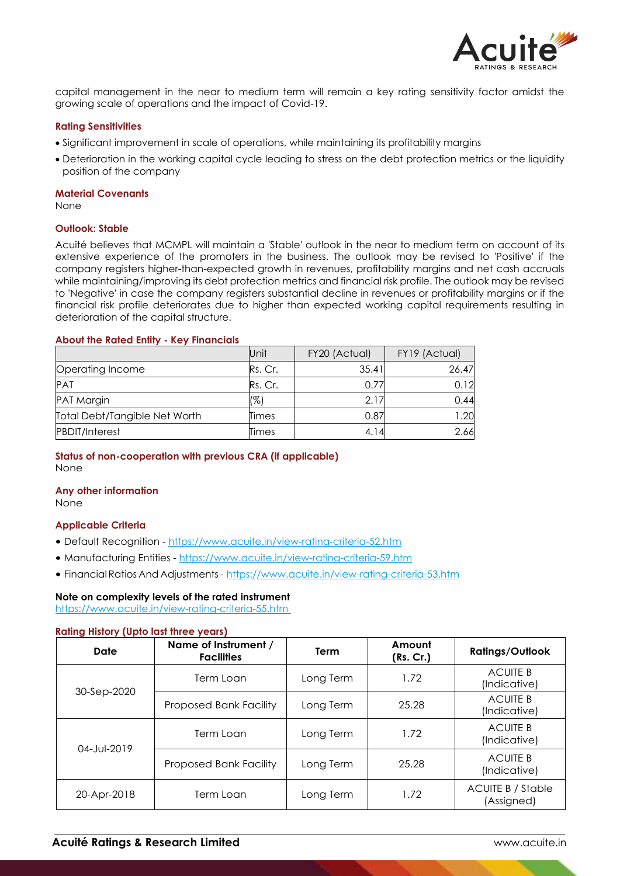

capital management in the near to medium term will remain a key rating sensitivity factor amidst the growing scale of operations and the impact of Covid-19.

#### **Rating Sensitivities**

- Significant improvement in scale of operations, while maintaining its profitability margins
- Deterioration in the working capital cycle leading to stress on the debt protection metrics or the liquidity position of the company

#### **Material Covenants**

None

#### **Outlook: Stable**

Acuité believes that MCMPL will maintain a 'Stable' outlook in the near to medium term on account of its extensive experience of the promoters in the business. The outlook may be revised to 'Positive' if the company registers higher-than-expected growth in revenues, profitability margins and net cash accruals while maintaining/improving its debt protection metrics and financial risk profile. The outlook may be revised to 'Negative' in case the company registers substantial decline in revenues or profitability margins or if the financial risk profile deteriorates due to higher than expected working capital requirements resulting in deterioration of the capital structure.

#### **About the Rated Entity - Key Financials**

|                               | Unit    | FY20 (Actual) | FY19 (Actual) |
|-------------------------------|---------|---------------|---------------|
| Operating Income              | Rs. Cr. | 35.41         | 26.47         |
| <b>PAT</b>                    | Rs. Cr. | 0.77          | 0.12          |
| PAT Margin                    | (%)     | 2.17          | 0.44          |
| Total Debt/Tangible Net Worth | Times   | 0.87          | 1.20          |
| <b>PBDIT/Interest</b>         | Times   | 4.14          | 2.66          |

## **Status of non-cooperation with previous CRA (if applicable)** None

#### **Any other information** None

## **Applicable Criteria**

- Default Recognition https://www.acuite.in/view-rating-criteria-52.htm
- Manufacturing Entities https://www.acuite.in/view-rating-criteria-59.htm
- Financial Ratios And Adjustments- https://www.acuite.in/view-rating-criteria-53.htm

## **Note on complexity levels of the rated instrument**

https://www.acuite.in/view-rating-criteria-55.htm

## **Rating History (Upto last three years)**

| <b>Date</b>              | Name of Instrument /<br><b>Facilities</b> | Term      | Amount<br>(Rs. Cr.) | <b>Ratings/Outlook</b>                 |
|--------------------------|-------------------------------------------|-----------|---------------------|----------------------------------------|
| 30-Sep-2020              | Term Loan                                 | Long Term | 1.72                | <b>ACUITE B</b><br>(Indicative)        |
|                          | <b>Proposed Bank Facility</b>             | Long Term | 25.28               | <b>ACUITE B</b><br>(Indicative)        |
| 04-Jul-2019              | Term Loan                                 | Long Term | 1.72                | <b>ACUITE B</b><br>(Indicative)        |
|                          | <b>Proposed Bank Facility</b>             | Long Term | 25.28               | <b>ACUITE B</b><br>(Indicative)        |
| 20-Apr-2018<br>Term Loan |                                           | Long Term | 1.72                | <b>ACUITE B / Stable</b><br>(Assigned) |